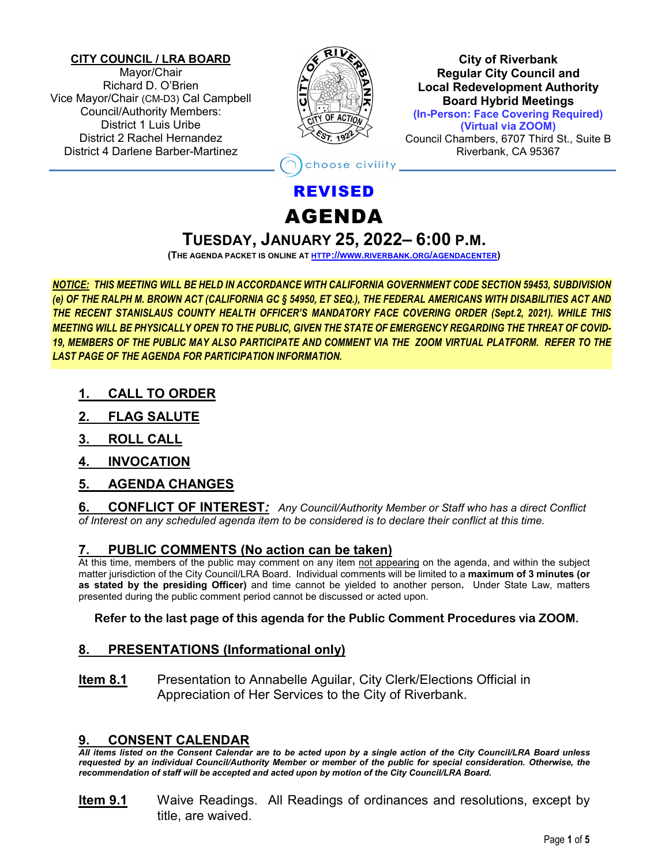#### **CITY COUNCIL / LRA BOARD**

Mayor/Chair Richard D. O'Brien Vice Mayor/Chair (CM-D3) Cal Campbell Council/Authority Members: District 1 Luis Uribe District 2 Rachel Hernandez District 4 Darlene Barber-Martinez



**City of Riverbank Regular City Council and Local Redevelopment Authority Board Hybrid Meetings (In-Person: Face Covering Required) (Virtual via ZOOM)** Council Chambers, 6707 Third St., Suite B Riverbank, CA 95367

oose civility

# REVISED

# AGENDA

# **TUESDAY, JANUARY 25, 2022– 6:00 P.M.**

**(THE AGENDA PACKET IS ONLINE A[T HTTP://WWW.RIVERBANK.ORG/AGENDACENTER\)](http://www.riverbank.org/agendacenter)**

*NOTICE: THIS MEETING WILL BE HELD IN ACCORDANCE WITH CALIFORNIA GOVERNMENT CODE SECTION 59453, SUBDIVISION (e) OF THE RALPH M. BROWN ACT (CALIFORNIA GC § 54950, ET SEQ.), THE FEDERAL AMERICANS WITH DISABILITIES ACT AND THE RECENT STANISLAUS COUNTY HEALTH OFFICER'S MANDATORY FACE COVERING ORDER (Sept.2, 2021). WHILE THIS MEETING WILL BE PHYSICALLY OPEN TO THE PUBLIC, GIVEN THE STATE OF EMERGENCY REGARDING THE THREAT OF COVID-19, MEMBERS OF THE PUBLIC MAY ALSO PARTICIPATE AND COMMENT VIA THE ZOOM VIRTUAL PLATFORM. REFER TO THE LAST PAGE OF THE AGENDA FOR PARTICIPATION INFORMATION.*

- **1. CALL TO ORDER**
- **2. FLAG SALUTE**
- **3. ROLL CALL**
- **4. INVOCATION**

# **5. AGENDA CHANGES**

**6. CONFLICT OF INTEREST***: Any Council/Authority Member or Staff who has a direct Conflict of Interest on any scheduled agenda item to be considered is to declare their conflict at this time.*

#### **7. PUBLIC COMMENTS (No action can be taken)**

At this time, members of the public may comment on any item not appearing on the agenda, and within the subject matter jurisdiction of the City Council/LRA Board. Individual comments will be limited to a **maximum of 3 minutes (or as stated by the presiding Officer)** and time cannot be yielded to another person**.** Under State Law, matters presented during the public comment period cannot be discussed or acted upon.

#### **Refer to the last page of this agenda for the Public Comment Procedures via ZOOM.**

# **8. PRESENTATIONS (Informational only)**

**Item 8.1** Presentation to Annabelle Aguilar, City Clerk/Elections Official in Appreciation of Her Services to the City of Riverbank.

#### **9. CONSENT CALENDAR**

*All items listed on the Consent Calendar are to be acted upon by a single action of the City Council/LRA Board unless requested by an individual Council/Authority Member or member of the public for special consideration. Otherwise, the recommendation of staff will be accepted and acted upon by motion of the City Council/LRA Board.*

**Item 9.1** Waive Readings. All Readings of ordinances and resolutions, except by title, are waived.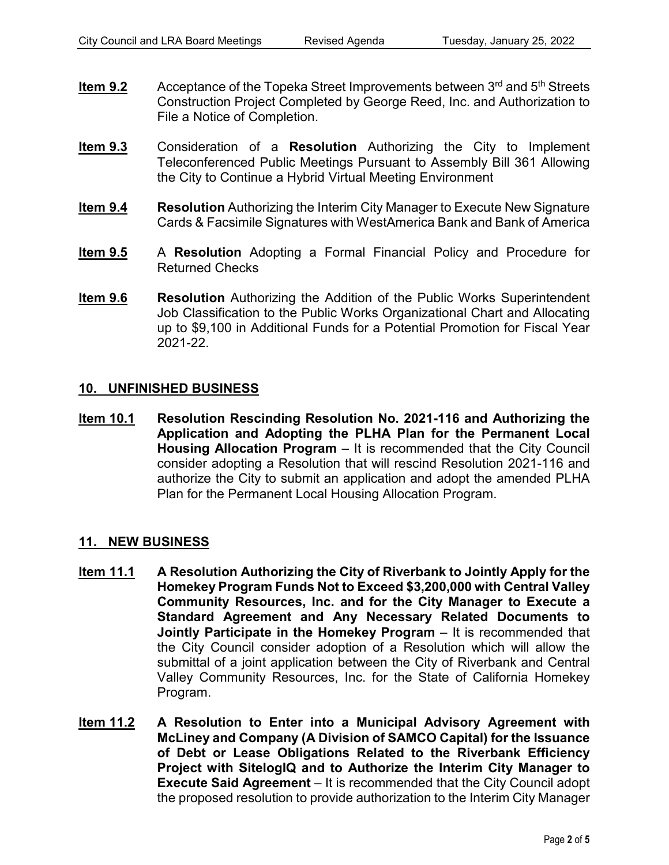- **Item 9.2** Acceptance of the Topeka Street Improvements between 3<sup>rd</sup> and 5<sup>th</sup> Streets Construction Project Completed by George Reed, Inc. and Authorization to File a Notice of Completion.
- **Item 9.3** Consideration of a **Resolution** Authorizing the City to Implement Teleconferenced Public Meetings Pursuant to Assembly Bill 361 Allowing the City to Continue a Hybrid Virtual Meeting Environment
- **Item 9.4 Resolution** Authorizing the Interim City Manager to Execute New Signature Cards & Facsimile Signatures with WestAmerica Bank and Bank of America
- **Item 9.5** A **Resolution** Adopting a Formal Financial Policy and Procedure for Returned Checks
- **Item 9.6 Resolution** Authorizing the Addition of the Public Works Superintendent Job Classification to the Public Works Organizational Chart and Allocating up to \$9,100 in Additional Funds for a Potential Promotion for Fiscal Year 2021-22.

#### **10. UNFINISHED BUSINESS**

**Item 10.1 Resolution Rescinding Resolution No. 2021-116 and Authorizing the Application and Adopting the PLHA Plan for the Permanent Local Housing Allocation Program** – It is recommended that the City Council consider adopting a Resolution that will rescind Resolution 2021-116 and authorize the City to submit an application and adopt the amended PLHA Plan for the Permanent Local Housing Allocation Program.

#### **11. NEW BUSINESS**

- **Item 11.1 A Resolution Authorizing the City of Riverbank to Jointly Apply for the Homekey Program Funds Not to Exceed \$3,200,000 with Central Valley Community Resources, Inc. and for the City Manager to Execute a Standard Agreement and Any Necessary Related Documents to Jointly Participate in the Homekey Program** – It is recommended that the City Council consider adoption of a Resolution which will allow the submittal of a joint application between the City of Riverbank and Central Valley Community Resources, Inc. for the State of California Homekey Program.
- **Item 11.2 A Resolution to Enter into a Municipal Advisory Agreement with McLiney and Company (A Division of SAMCO Capital) for the Issuance of Debt or Lease Obligations Related to the Riverbank Efficiency Project with SitelogIQ and to Authorize the Interim City Manager to Execute Said Agreement** – It is recommended that the City Council adopt the proposed resolution to provide authorization to the Interim City Manager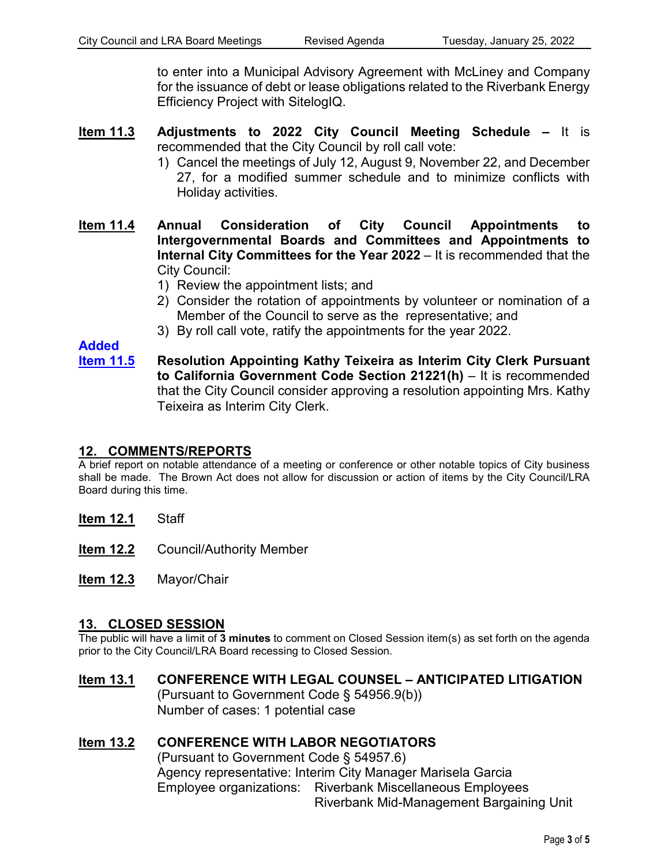to enter into a Municipal Advisory Agreement with McLiney and Company for the issuance of debt or lease obligations related to the Riverbank Energy Efficiency Project with SitelogIQ.

- **Item 11.3 Adjustments to 2022 City Council Meeting Schedule –** It is recommended that the City Council by roll call vote:
	- 1) Cancel the meetings of July 12, August 9, November 22, and December 27, for a modified summer schedule and to minimize conflicts with Holiday activities.
- **Item 11.4 Annual Consideration of City Council Appointments to Intergovernmental Boards and Committees and Appointments to Internal City Committees for the Year 2022** – It is recommended that the City Council:
	- 1) Review the appointment lists; and
	- 2) Consider the rotation of appointments by volunteer or nomination of a Member of the Council to serve as the representative; and
	- 3) By roll call vote, ratify the appointments for the year 2022.

# **Added**

**Item 11.5 Resolution Appointing Kathy Teixeira as Interim City Clerk Pursuant to California Government Code Section 21221(h)** – It is recommended that the City Council consider approving a resolution appointing Mrs. Kathy Teixeira as Interim City Clerk.

# **12. COMMENTS/REPORTS**

A brief report on notable attendance of a meeting or conference or other notable topics of City business shall be made. The Brown Act does not allow for discussion or action of items by the City Council/LRA Board during this time.

**Item 12.1** Staff

- **Item 12.2** Council/Authority Member
- **Item 12.3** Mayor/Chair

#### **13. CLOSED SESSION**

The public will have a limit of **3 minutes** to comment on Closed Session item(s) as set forth on the agenda prior to the City Council/LRA Board recessing to Closed Session.

# **Item 13.1 CONFERENCE WITH LEGAL COUNSEL – ANTICIPATED LITIGATION** (Pursuant to Government Code § 54956.9(b))

Number of cases: 1 potential case

# **Item 13.2 CONFERENCE WITH LABOR NEGOTIATORS**

(Pursuant to Government Code § 54957.6) Agency representative: Interim City Manager Marisela Garcia Employee organizations: Riverbank Miscellaneous Employees Riverbank Mid-Management Bargaining Unit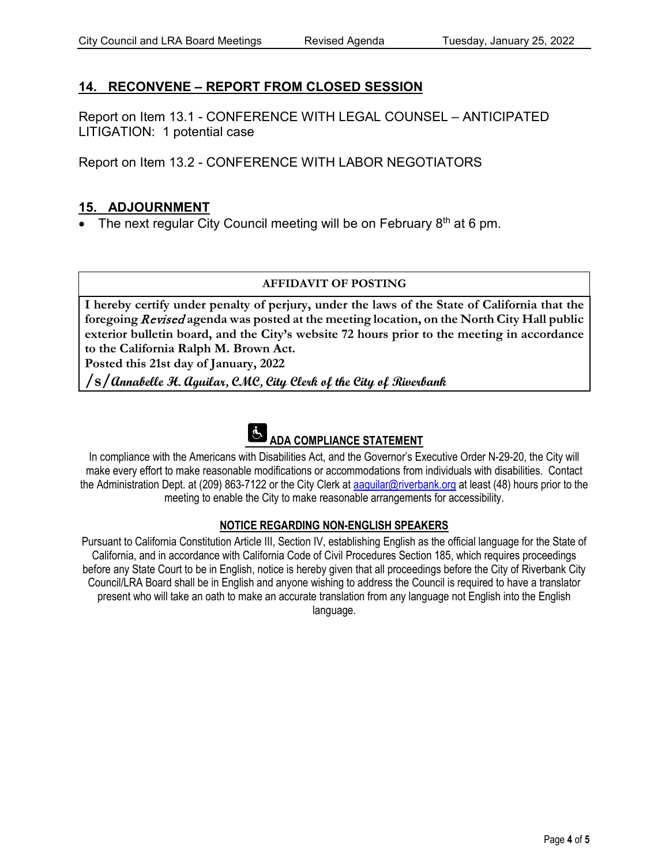# **14. RECONVENE – REPORT FROM CLOSED SESSION**

Report on Item 13.1 - CONFERENCE WITH LEGAL COUNSEL – ANTICIPATED LITIGATION: 1 potential case

Report on Item 13.2 - CONFERENCE WITH LABOR NEGOTIATORS

# **15. ADJOURNMENT**

• The next regular City Council meeting will be on February  $8<sup>th</sup>$  at 6 pm.

#### **AFFIDAVIT OF POSTING**

**I hereby certify under penalty of perjury, under the laws of the State of California that the foregoing** Revised **agenda was posted at the meeting location, on the North City Hall public exterior bulletin board, and the City's website 72 hours prior to the meeting in accordance to the California Ralph M. Brown Act.** 

**Posted this 21st day of January, 2022**

**/s/Annabelle H. Aguilar, CMC, City Clerk of the City of Riverbank**



In compliance with the Americans with Disabilities Act, and the Governor's Executive Order N-29-20, the City will make every effort to make reasonable modifications or accommodations from individuals with disabilities. Contact the Administration Dept. at (209) 863-7122 or the City Clerk at aaquilar@riverbank.org at least (48) hours prior to the meeting to enable the City to make reasonable arrangements for accessibility.

#### **NOTICE REGARDING NON-ENGLISH SPEAKERS**

Pursuant to California Constitution Article III, Section IV, establishing English as the official language for the State of California, and in accordance with California Code of Civil Procedures Section 185, which requires proceedings before any State Court to be in English, notice is hereby given that all proceedings before the City of Riverbank City Council/LRA Board shall be in English and anyone wishing to address the Council is required to have a translator present who will take an oath to make an accurate translation from any language not English into the English language.